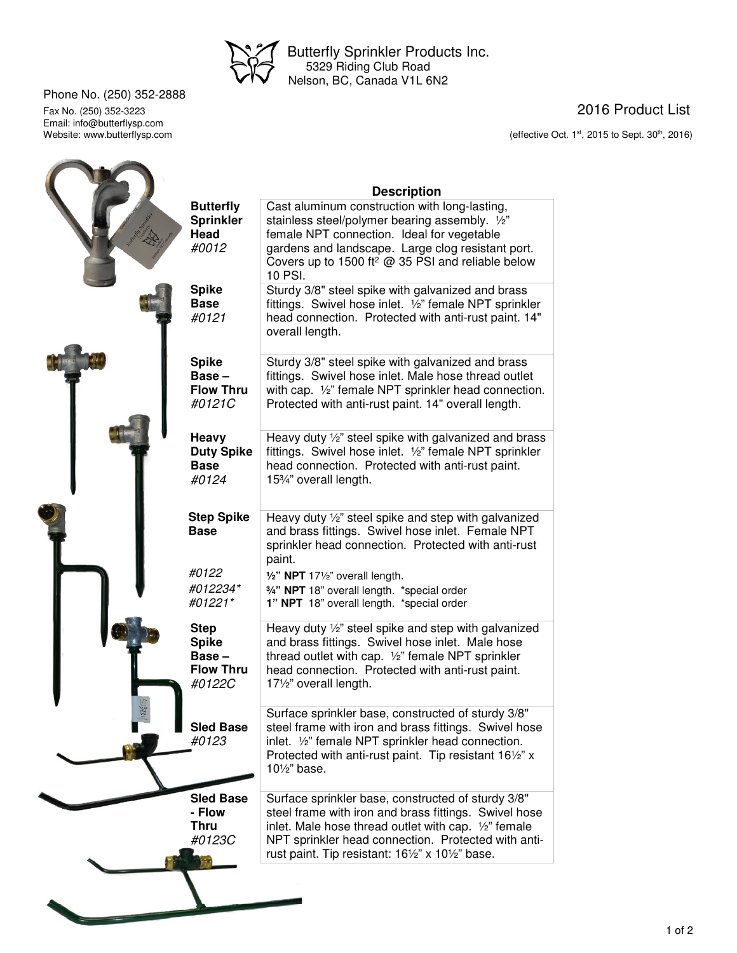

 Butterfly Sprinkler Products Inc. 5329 Riding Club Road Nelson, BC, Canada V1L 6N2

Phone No. (250) 352-2888

Email: info@butterflysp.com<br>Website: www.butterflysp.com



Fax No. (250) 352-3223 2016 Product List

(effective Oct.  $1<sup>st</sup>$ , 2015 to Sept. 30<sup>th</sup>, 2016)